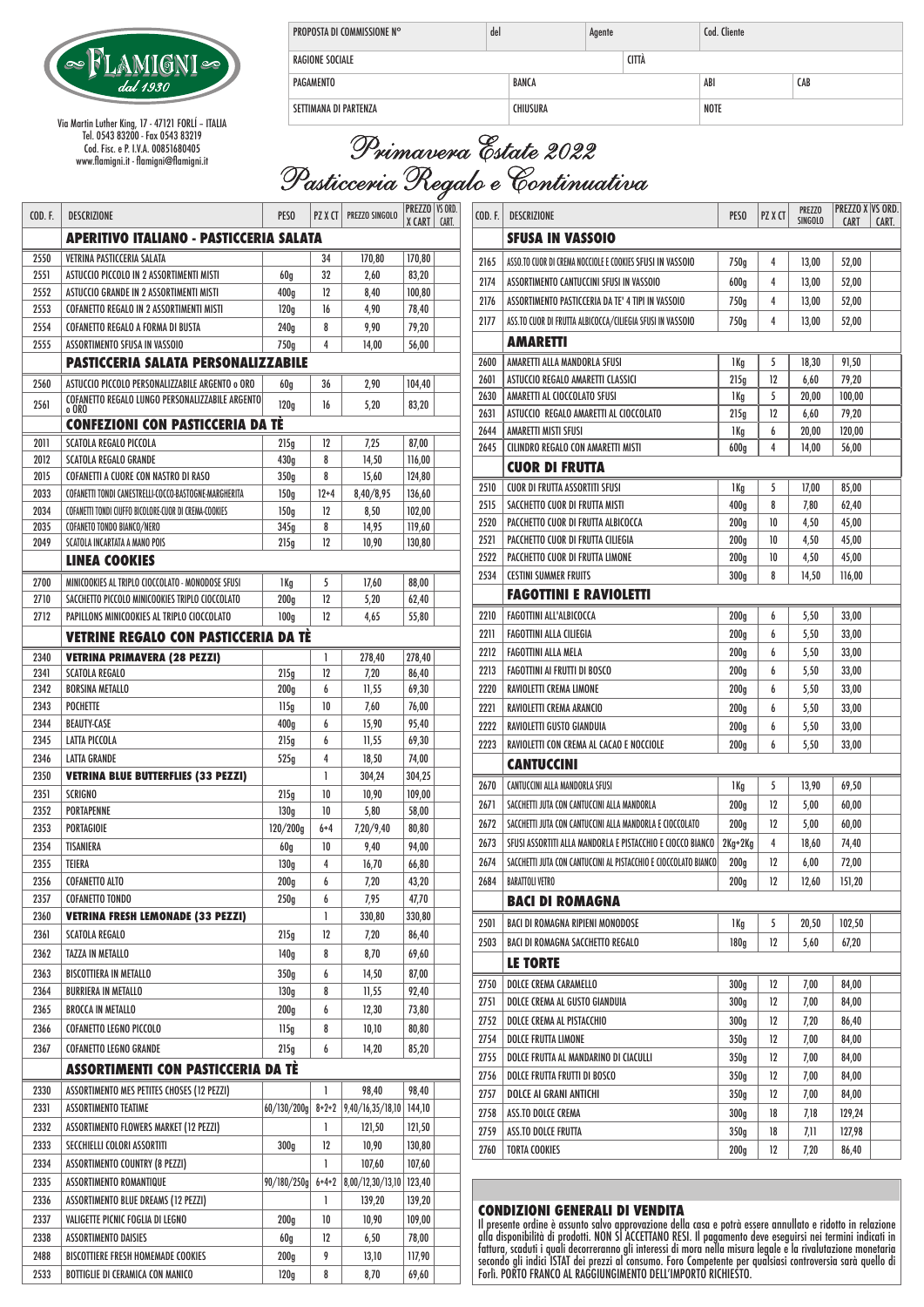

Via Martin Luther King, 17 - 47121 FORLÍ – ITALIA Tel. 0543 83200 - Fax 0543 83219 Cod. Fisc. e P. I.V.A. 00851680405 www.flamigni.it - flamigni@flamigni.it

| <b>PROPOSTA DI COMMISSIONE N°</b> | del | Agente |             |     |     | Cod. Cliente |  |
|-----------------------------------|-----|--------|-------------|-----|-----|--------------|--|
| <b>RAGIONE SOCIALE</b>            |     |        | CITTÀ       |     |     |              |  |
| <b>BANCA</b><br>PAGAMENTO         |     |        |             | ABI | CAB |              |  |
| CHIUSURA<br>SETTIMANA DI PARTENZA |     |        | <b>NOTE</b> |     |     |              |  |

| Primavera Estate 2022             |
|-----------------------------------|
| Pasticceria Regalo e Continuativa |

| <b>COD.F.</b> | <b>DESCRIZIONE</b>                                                   | PESO                     | PZ X CT     | PREZZO SINGOLO   | PREZZO   VS ORD.<br>X CART | CART. |  |  |
|---------------|----------------------------------------------------------------------|--------------------------|-------------|------------------|----------------------------|-------|--|--|
|               | APERITIVO ITALIANO - PASTICCERIA SALATA                              |                          |             |                  |                            |       |  |  |
| 2550          | VETRINA PASTICCERIA SALATA                                           |                          | 34          | 170,80           | 170,80                     |       |  |  |
| 2551          | ASTUCCIO PICCOLO IN 2 ASSORTIMENTI MISTI                             | 60 <sub>g</sub>          | 32          | 2,60             | 83,20                      |       |  |  |
| 2552          | ASTUCCIO GRANDE IN 2 ASSORTIMENTI MISTI                              | 400a                     | 12          | 8,40             | 100,80                     |       |  |  |
| 2553          | <b>COFANETTO REGALO IN 2 ASSORTIMENTI MISTI</b>                      | 120q                     | 16          | 4,90             | 78,40                      |       |  |  |
| 2554          | COFANETTO REGALO A FORMA DI BUSTA                                    | 240g                     | 8           | 9,90             | 79,20                      |       |  |  |
| 2555          | ASSORTIMENTO SFUSA IN VASSOIO                                        | 750g                     | 4           | 14,00            | 56,00                      |       |  |  |
|               | PASTICCERIA SALATA PERSONALIZZABILE                                  |                          |             |                  |                            |       |  |  |
| 2560          | ASTUCCIO PICCOLO PERSONALIZZABILE ARGENTO o ORO                      | 60 <sub>g</sub>          | 36          | 2,90             | 104,40                     |       |  |  |
| 2561          | COFANETTO REGALO LUNGO PERSONALIZZABILE ARGENTO                      | 120 <sub>g</sub>         | 16          | 5,20             | 83,20                      |       |  |  |
|               | o ORO                                                                |                          |             |                  |                            |       |  |  |
|               | <b>CONFEZIONI CON PASTICCERIA DA TÈ</b>                              |                          |             |                  |                            |       |  |  |
| 2011<br>2012  | <b>SCATOLA REGALO PICCOLA</b>                                        | 215g                     | 12<br>8     | 7,25             | 87,00                      |       |  |  |
| 2015          | <b>SCATOLA REGALO GRANDE</b><br>COFANETTI A CUORE CON NASTRO DI RASO | 430g<br>350 <sub>g</sub> | 8           | 14,50<br>15,60   | 116,00<br>124,80           |       |  |  |
| 2033          | COFANETTI TONDI CANESTRELLI-COCCO-BASTOGNE-MARGHERITA                | 150q                     | $12 + 4$    | 8,40/8,95        | 136,60                     |       |  |  |
| 2034          | COFANETTI TONDI CIUFFO BICOLORE-CUOR DI CREMA-COOKIES                |                          | 12          |                  | 102,00                     |       |  |  |
| 2035          | COFANETO TONDO BIANCO/NERO                                           | 150 <sub>g</sub><br>345g | 8           | 8,50<br>14,95    | 119,60                     |       |  |  |
| 2049          | SCATOLA INCARTATA A MANO POIS                                        | 215g                     | 12          | 10,90            | 130,80                     |       |  |  |
|               | <b>LINEA COOKIES</b>                                                 |                          |             |                  |                            |       |  |  |
| 2700          | MINICOOKIES AL TRIPLO CIOCCOLATO - MONODOSE SFUSI                    |                          | 5           |                  |                            |       |  |  |
| 2710          | SACCHETTO PICCOLO MINICOOKIES TRIPLO CIOCCOLATO                      | 1 Kg<br>200 <sub>g</sub> | 12          | 17,60<br>5,20    | 88,00<br>62,40             |       |  |  |
| 2712          | PAPILLONS MINICOOKIES AL TRIPLO CIOCCOLATO                           |                          | 12          | 4,65             | 55,80                      |       |  |  |
|               |                                                                      | 100 <sub>g</sub>         |             |                  |                            |       |  |  |
|               | <b>VETRINE REGALO CON PASTICCERIA DA TÈ</b>                          |                          |             |                  |                            |       |  |  |
| 2340          | <b>VETRINA PRIMAVERA (28 PEZZI)</b>                                  |                          | 1           | 278,40           | 278,40                     |       |  |  |
| 2341          | <b>SCATOLA REGALO</b>                                                | 215g                     | 12          | 7,20             | 86,40                      |       |  |  |
| 2342          | <b>BORSINA METALLO</b>                                               | 200q                     | 6           | 11,55            | 69,30                      |       |  |  |
| 2343          | POCHETTE                                                             | 115g                     | 10          | 7,60             | 76,00                      |       |  |  |
| 2344<br>2345  | <b>BEAUTY-CASE</b><br><b>LATTA PICCOLA</b>                           | 400 <sub>g</sub>         | 6<br>6      | 15,90            | 95,40                      |       |  |  |
|               |                                                                      | 215g                     | 4           | 11,55            | 69,30                      |       |  |  |
| 2346          | LATTA GRANDE                                                         | 525g                     |             | 18,50            | 74,00                      |       |  |  |
| 2350          | <b>VETRINA BLUE BUTTERFLIES (33 PEZZI)</b>                           |                          | 1           | 304,24           | 304,25                     |       |  |  |
| 2351<br>2352  | <b>SCRIGNO</b><br><b>PORTAPENNE</b>                                  | 215g                     | 10<br>10    | 10,90            | 109,00                     |       |  |  |
| 2353          |                                                                      | 130 <sub>g</sub>         |             | 5,80             | 58,00                      |       |  |  |
|               | PORTAGIOIE                                                           | 120/200 <sub>g</sub>     | $6+4$       | 7,20/9,40        | 80,80                      |       |  |  |
| 2354          | TISANIERA                                                            | 60q                      | 10          | 9,40             | 94,00                      |       |  |  |
| 2355          | TEIERA                                                               | 130 <sub>g</sub>         | 4           | 16,70            | 66,80                      |       |  |  |
| 2356          | <b>COFANETTO ALTO</b><br><b>COFANETTO TONDO</b>                      | 200 <sub>g</sub>         | 6           | 7,20             | 43,20                      |       |  |  |
| 2357          |                                                                      | 250g                     | 6           | 7,95             | 47,70                      |       |  |  |
| 2360          | <b>VETRINA FRESH LEMONADE (33 PEZZI)</b>                             |                          | L           | 330,80           | 330,80                     |       |  |  |
| 2361          | <b>SCATOLA REGALO</b>                                                | 215g                     | 12          | 7,20             | 86,40                      |       |  |  |
| 2362          | TAZZA IN METALLO                                                     | 140 <sub>g</sub>         | 8           | 8,70             | 69,60                      |       |  |  |
| 2363          | BISCOTTIERA IN METALLO                                               | 350 <sub>g</sub>         | 6           | 14,50            | 87,00                      |       |  |  |
| 2364          | BURRIERA IN METALLO                                                  | 130 <sub>g</sub>         | 8           | 11,55            | 92,40                      |       |  |  |
| 2365          | BROCCA IN METALLO                                                    | 200 <sub>g</sub>         | 6           | 12,30            | 73,80                      |       |  |  |
| 2366          | <b>COFANETTO LEGNO PICCOLO</b>                                       | 115g                     | 8           | 10,10            | 80,80                      |       |  |  |
| 2367          | <b>COFANETTO LEGNO GRANDE</b>                                        | 215g                     | 6           | 14,20            | 85,20                      |       |  |  |
|               | <b>ASSORTIMENTI CON PASTICCERIA DA TÉ</b>                            |                          |             |                  |                            |       |  |  |
| 2330          | ASSORTIMENTO MES PETITES CHOSES (12 PEZZI)                           |                          | 1           | 98,40            | 98,40                      |       |  |  |
| 2331          | <b>ASSORTIMENTO TEATIME</b>                                          | 60/130/200q              | $8 + 2 + 2$ | 9,40/16,35/18,10 | 144,10                     |       |  |  |
| 2332          | ASSORTIMENTO FLOWERS MARKET (12 PEZZI)                               |                          | 1           | 121,50           | 121,50                     |       |  |  |
| 2333          | SECCHIELLI COLORI ASSORTITI                                          | 300 <sub>g</sub>         | 12          | 10,90            | 130,80                     |       |  |  |
| 2334          | <b>ASSORTIMENTO COUNTRY (8 PEZZI)</b>                                |                          | 1           | 107,60           | 107,60                     |       |  |  |
|               |                                                                      |                          |             |                  |                            |       |  |  |
| 2335          | <b>ASSORTIMENTO ROMANTIQUE</b>                                       | 90/180/250g              | 6+4+2       | 8,00/12,30/13,10 | 123,40                     |       |  |  |
| 2336          | ASSORTIMENTO BLUE DREAMS (12 PEZZI)                                  |                          | 1           | 139,20           | 139,20                     |       |  |  |
| 2337          | VALIGETTE PICNIC FOGLIA DI LEGNO                                     | 200 <sub>g</sub>         | 10          | 10,90            | 109,00                     |       |  |  |
| 2338          | ASSORTIMENTO DAISIES                                                 | 60 <sub>g</sub>          | 12          | 6,50             | 78,00                      |       |  |  |
| 2488          | BISCOTTIERE FRESH HOMEMADE COOKIES                                   | 200 <sub>g</sub>         | 9           | 13,10            | 117,90                     |       |  |  |
| 2533          | BOTTIGLIE DI CERAMICA CON MANICO                                     | 120 <sub>g</sub>         | 8           | 8,70             | 69,60                      |       |  |  |

| COD. F. | <b>DESCRIZIONE</b>                                              | <b>PESO</b>      | PZ X CT | <b>PREZZO</b><br><b>SINGOLO</b> | PREZZO X VS ORD.<br>CART | CART. |
|---------|-----------------------------------------------------------------|------------------|---------|---------------------------------|--------------------------|-------|
|         | <b>SFUSA IN VASSOIO</b>                                         |                  |         |                                 |                          |       |
| 2165    | ASSO.TO CUOR DI CREMA NOCCIOLE E COOKIES SFUSI IN VASSOIO       | 750g             | 4       | 13,00                           | 52,00                    |       |
| 2174    | ASSORTIMENTO CANTUCCINI SFUSI IN VASSOIO                        | 600 <sub>g</sub> | 4       | 13,00                           | 52,00                    |       |
| 2176    | ASSORTIMENTO PASTICCERIA DA TE' 4 TIPI IN VASSOIO               | 750g             | 4       | 13,00                           | 52,00                    |       |
| 2177    | ASS.TO CUOR DI FRUTTA ALBICOCCA/CILIEGIA SFUSI IN VASSOIO       | 750g             | 4       | 13,00                           | 52,00                    |       |
|         | AMARETTI                                                        |                  |         |                                 |                          |       |
| 2600    | AMARETTI ALLA MANDORLA SFUSI                                    | 1 Kg             | 5       | 18,30                           | 91,50                    |       |
| 2601    | ASTUCCIO REGALO AMARETTI CLASSICI                               | 215g             | 12      | 6,60                            | 79,20                    |       |
| 2630    | AMARETTI AL CIOCCOLATO SFUSI                                    | 1 Kg             | 5       | 20,00                           | 100,00                   |       |
| 2631    | ASTUCCIO REGALO AMARETTI AL CIOCCOLATO                          | 215g             | 12      | 6,60                            | 79,20                    |       |
| 2644    | AMARETTI MISTI SFUSI                                            | 1 Kg             | 6       | 20,00                           | 120,00                   |       |
| 2645    | CILINDRO REGALO CON AMARETTI MISTI                              | 600 <sub>g</sub> | 4       | 14,00                           | 56,00                    |       |
|         | CUOR DI FRUTTA                                                  |                  |         |                                 |                          |       |
| 2510    | CUOR DI FRUTTA ASSORTITI SFUSI                                  | 1 Kg             | 5       | 17,00                           | 85,00                    |       |
| 2515    | SACCHETTO CUOR DI FRUTTA MISTI                                  | 400 <sub>g</sub> | 8       | 7,80                            | 62,40                    |       |
| 2520    | PACCHETTO CUOR DI FRUTTA ALBICOCCA                              | 200 <sub>g</sub> | 10      | 4,50                            | 45,00                    |       |
| 2521    | PACCHETTO CUOR DI FRUTTA CILIEGIA                               | 200 <sub>g</sub> | 10      | 4,50                            | 45,00                    |       |
| 2522    | PACCHETTO CUOR DI FRUTTA LIMONE                                 | 200 <sub>g</sub> | 10      | 4,50                            | 45,00                    |       |
| 2534    | <b>CESTINI SUMMER FRUITS</b>                                    | 300 <sub>g</sub> | 8       | 14,50                           | 116,00                   |       |
|         | <b>FAGOTTINI E RAVIOLETTI</b>                                   |                  |         |                                 |                          |       |
| 2210    | FAGOTTINI ALL'ALBICOCCA                                         | 200 <sub>g</sub> | 6       | 5,50                            | 33,00                    |       |
| 2211    | <b>FAGOTTINI ALLA CILIEGIA</b>                                  | 200 <sub>g</sub> | 6       | 5,50                            | 33,00                    |       |
| 2212    | <b>FAGOTTINI ALLA MELA</b>                                      | 200 <sub>g</sub> | 6       | 5,50                            | 33,00                    |       |
| 2213    | FAGOTTINI AI FRUTTI DI BOSCO                                    | 200 <sub>g</sub> | 6       | 5,50                            | 33,00                    |       |
| 2220    | RAVIOLETTI CREMA LIMONE                                         | 200 <sub>g</sub> | 6       | 5,50                            | 33,00                    |       |
| 2221    | RAVIOLETTI CREMA ARANCIO                                        | 200 <sub>g</sub> | 6       | 5,50                            | 33,00                    |       |
| 2222    | RAVIOLETTI GUSTO GIANDUIA                                       | 200 <sub>g</sub> | 6       | 5,50                            | 33,00                    |       |
| 2223    | RAVIOLETTI CON CREMA AL CACAO E NOCCIOLE                        | 200 <sub>g</sub> | 6       | 5,50                            | 33,00                    |       |
|         | <b>CANTUCCINI</b>                                               |                  |         |                                 |                          |       |
| 2670    | CANTUCCINI ALLA MANDORLA SFUSI                                  | 1 Kg             | 5       | 13,90                           | 69,50                    |       |
| 2671    | SACCHETTI JUTA CON CANTUCCINI ALLA MANDORLA                     | 200 <sub>g</sub> | 12      | 5,00                            | 60,00                    |       |
| 2672    | SACCHETTI JUTA CON CANTUCCINI ALLA MANDORLA E CIOCCOLATO        | 200 <sub>g</sub> | 12      | 5,00                            | 60,00                    |       |
| 2673    | SFUSI ASSORTITI ALLA MANDORLA E PISTACCHIO E CIOCCO BIANCO      | 2Kg+2Kg          | 4       | 18,60                           | 74,40                    |       |
| 2674    | SACCHETTI JUTA CON CANTUCCINI AL PISTACCHIO E CIOCCOLATO BIANCO | 200 <sub>g</sub> | 12      | 6,00                            | 72,00                    |       |
| 2684    | <b>BARATTOLI VETRO</b>                                          | 200 <sub>g</sub> | 12      | 12,60                           | 151,20                   |       |
|         | BACI DI ROMAGNA                                                 |                  |         |                                 |                          |       |
| 2501    | BACI DI ROMAGNA RIPIENI MONODOSE                                | 1 Kg             | 5       | 20,50                           | 102,50                   |       |
| 2503    | BACI DI ROMAGNA SACCHETTO REGALO                                | 180 <sub>g</sub> | 12      | 5,60                            | 67,20                    |       |
|         | LE TORTE                                                        |                  |         |                                 |                          |       |
| 2750    | <b>DOLCE CREMA CARAMELLO</b>                                    | 300 <sub>g</sub> | 12      | 7,00                            | 84,00                    |       |
| 2751    | DOLCE CREMA AL GUSTO GIANDUIA                                   | 300 <sub>g</sub> | 12      | 7,00                            | 84,00                    |       |
| 2752    | DOLCE CREMA AL PISTACCHIO                                       | 300 <sub>g</sub> | 12      | 7,20                            | 86,40                    |       |
| 2754    | DOLCE FRUTTA LIMONE                                             | 350 <sub>g</sub> | 12      | 7,00                            | 84,00                    |       |
| 2755    | DOLCE FRUTTA AL MANDARINO DI CIACULLI                           | 350 <sub>g</sub> | 12      | 7,00                            | 84,00                    |       |
| 2756    | DOLCE FRUTTA FRUTTI DI BOSCO                                    | 350 <sub>g</sub> | 12      | 7,00                            | 84,00                    |       |
| 2757    | DOLCE AI GRANI ANTICHI                                          | 350 <sub>g</sub> | 12      | 7,00                            | 84,00                    |       |
| 2758    | ASS.TO DOLCE CREMA                                              | 300 <sub>g</sub> | 18      | 7,18                            | 129,24                   |       |
| 2759    | ASS.TO DOLCE FRUTTA                                             | 350 <sub>g</sub> | 18      | 7,11                            | 127,98                   |       |
| 2760    | TORTA COOKIES                                                   | 200 <sub>g</sub> | 12      | 7,20                            | 86,40                    |       |
|         |                                                                 |                  |         |                                 |                          |       |

**CONDIZIONI GENERALI DI VENDITA** Il presente ordine è assunto salvo approvazione della casa e potrà essere annullato e ridotto in relazione alla disponibilità di prodotti. NON SI ACCETTANO RESI. Il pagamento deve eseguirsi nei termini indicati in fattura, scaduti i quali decorreranno gli interessi di mora nella misura legale e la rivalutazione monetaria<br>secondo gli indici ISTAT dei prezzi al consumo. Foro Competente per qualsiasi controversia sarà quello di<br>Forlì.